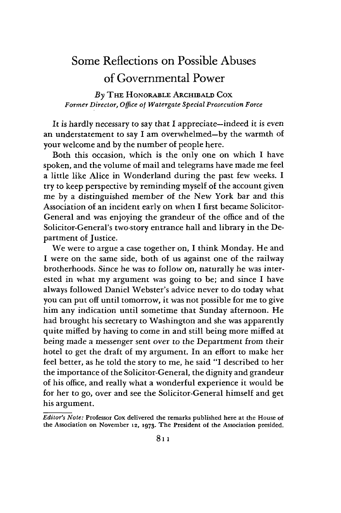# Some Reflections on Possible Abuses of Governmental Power

*By* THE HONORABLE ARCHIBALD COX *Former Director, Office of Watergate Special Prosecution Force*

It is hardly necessary to say that I appreciate—indeed it is even an understatement to say I am overwhelmed-by the warmth of your welcome and by the number of people here.

Both this occasion, which is the only one on which **I** have spoken, and the volume of mail and telegrams have made me feel a little like Alice in Wonderland during the past few weeks. **I** try to keep perspective by reminding myself of the account given me by a distinguished member of the New York bar and this Association of an incident early on when I first became Solicitor-General and was enjoying the grandeur of the office and of the Solicitor-General's two-story entrance hall and library in the Department of Justice.

We were to argue a case together on, I think Monday. He and I were on the same side, both of us against one of the railway brotherhoods. Since he was to follow on, naturally he was interested in what my argument was going to be; and since I have always followed Daniel Webster's advice never to do today what you can put off until tomorrow, it was not possible for me to give him any indication until sometime that Sunday afternoon. He had brought his secretary to Washington and she was apparently quite miffed by having to come in and still being more miffed at being made a messenger sent over to the Department from their hotel to get the draft of my argument. In an effort to make her feel better, as he told the story to me, he said "I described to her the importance of the Solicitor-General, the dignity and grandeur of his office, and really what a wonderful experience it would be for her to go, over and see the Solicitor-General himself and get his argument.

*Editor's Note:* Professor Cox delivered the remarks published here at the House of the Association on November **12, 1973.** The President of the Association presided.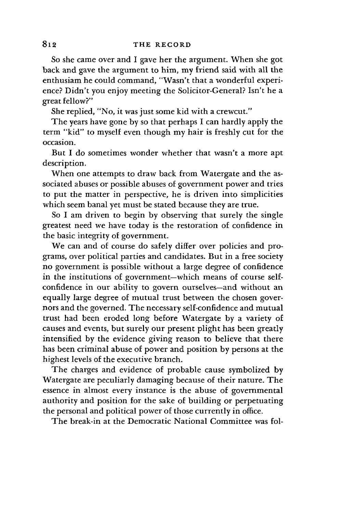So she came over and I gave her the argument. When she got back and gave the argument to him, my friend said with all the enthusiam he could command, "Wasn't that a wonderful experience? Didn't you enjoy meeting the Solicitor-General? Isn't he a great fellow?"

She replied, "No, it was just some **kid** with a crewcut."

The years have gone **by** so that perhaps I can hardly apply the term "kid" to myself even though my hair is freshly cut for the occasion.

But I do sometimes wonder whether that wasn't a more apt description.

When one attempts to draw back from Watergate and the associated abuses or possible abuses of government power and tries to put the matter in perspective, he is driven into simplicities which seem banal yet must be stated because they are true.

So I am driven to begin by observing that surely the single greatest need we have today is the restoration of confidence in the basic integrity of government.

We can and of course do safely differ over policies and programs, over political parties and candidates. But in a free society no government is possible without a large degree of confidence in the institutions of government-which means of course selfconfidence in our ability to govern ourselves-and without an equally large degree of mutual trust between the chosen governors and the governed. The necessary self-confidence and mutual trust had been eroded long before Watergate by a variety of causes and events, but surely our present plight has been greatly intensified by the evidence giving reason to believe that there has been criminal abuse of power and position **by** persons at the highest levels of the executive branch.

The charges and evidence of probable cause symbolized **by** Watergate are peculiarly damaging because of their nature. The essence in almost every instance is the abuse of governmental authority and position for the sake of building or perpetuating the personal and political power of those currently in office.

The break-in at the Democratic National Committee was fol-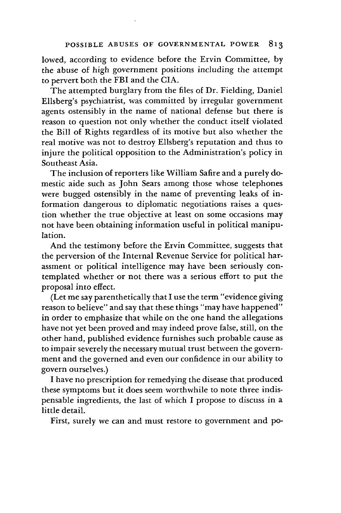lowed, according to evidence before the Ervin Committee, **by** the abuse of high government positions including the attempt to pervert both the FBI and the CIA.

The attempted burglary from the files of Dr. Fielding, Daniel Ellsberg's psychiatrist, was committed by irregular government agents ostensibly in the name of national defense but there is reason to question not only whether the conduct itself violated the Bill of Rights regardless of its motive but also whether the real motive was not to destroy Ellsberg's reputation and thus to injure the political opposition to the Administration's policy in Southeast Asia.

The inclusion of reporters like William Safire and a purely domestic aide such as John Sears among those whose telephones were bugged ostensibly in the name of preventing leaks of information dangerous to diplomatic negotiations raises a question whether the true objective at least on some occasions may not have been obtaining information useful in political manipulation.

And the testimony before the Ervin Committee, suggests that the perversion of the Internal Revenue Service for political harassment or political intelligence may have been seriously contemplated whether or not there was a serious effort to put the proposal into effect.

(Let me say parenthetically that I use the term "evidence giving reason to believe" and say that these things "may have happened" in order to emphasize that while on the one hand the allegations have not yet been proved and may indeed prove false, still, on the other hand, published evidence furnishes such probable cause as to impair severely the necessary mutual trust between the government and the governed and even our confidence in our ability to govern ourselves.)

I have no prescription for remedying the disease that produced these symptoms but it does seem worthwhile to note three indispensable ingredients, the last of which I propose to discuss in a little detail.

First, surely we can and must restore to government and po-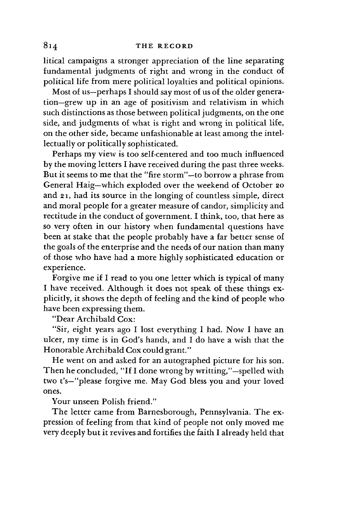litical campaigns a stronger appreciation of the line separating fundamental judgments of right and wrong in the conduct of political life from mere political loyalties and political opinions.

Most of us-perhaps I should say most of us of the older generation-grew up in an age of positivism and relativism in which such distinctions as those between political judgments, on the one side, and judgments of what is right and wrong in political life, on the other side, became unfashionable at least among the intellectually or politically sophisticated.

Perhaps my view is too self-centered and too much influenced by the moving letters I have received during the past three weeks. But it seems to me that the "fire storm"-to borrow a phrase from General Haig-which exploded over the weekend of October 2o and 2 1, had its source in the longing of countless simple, direct and moral people for a greater measure of candor, simplicity and rectitude in the conduct of government. I think, too, that here as so very often in our history when fundamental questions have been at stake that the people probably have a far better sense of the goals of the enterprise and the needs of our nation than many of those who have had a more highly sophisticated education or experience.

Forgive me if I read to you one letter which is typical of many I have received. Although it does not speak of these things explicitly, it shows the depth of feeling and the kind of people who have been expressing them.

"Dear Archibald Cox:

"Sir, eight years ago I lost everything I had. Now I have an ulcer, my time is in God's hands, and I do have a wish that the Honorable Archibald Cox could grant."

He went on and asked for an autographed picture for his son. Then he concluded, "If I done wrong by writting,"-spelled with two t's-"please forgive me. May God bless you and your loved ones.

Your unseen Polish friend."

The letter came from Barnesborough, Pennsylvania. The expression of feeling from that kind of people not only moved me very deeply but it revives and fortifies the faith I already held that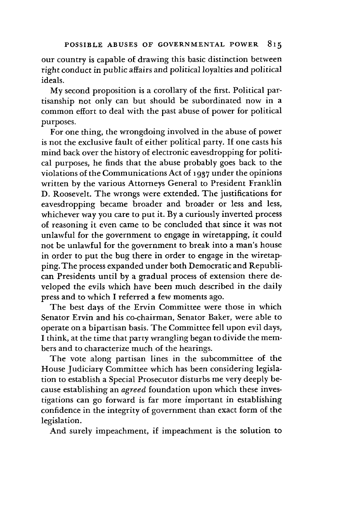our country is capable of drawing this basic distinction between right conduct in public affairs and political loyalties and political ideals.

My second proposition is a corollary of the first. Political partisanship not only can but should be subordinated now in a common effort to deal with the past abuse of power for political purposes.

For one thing, the wrongdoing involved in the abuse of power is not the exclusive fault of either political party. If one casts his mind back over the history of electronic eavesdropping for political purposes, he finds that the abuse probably goes back to the violations of the Communications Act of **1937** under the opinions written by the various Attorneys General to President Franklin D. Roosevelt. The wrongs were extended. The justifications for eavesdropping became broader and broader or less and less, whichever way you care to put it. By a curiously inverted process of reasoning it even came to be concluded that since it was not unlawful for the government to engage in wiretapping, it could not be unlawful for the government to break into a man's house in order to put the bug there in order to engage in the wiretapping. The process expanded under both Democratic and Republican Presidents until by a gradual process of extension there developed the evils which have been much described in the daily press and to which I referred a few moments ago.

The best days of the Ervin Committee were those in which Senator Ervin and his co-chairman, Senator Baker, were able to operate on a bipartisan basis. The Committee fell upon evil days, I think, at the time that party wrangling began to divide the members and to characterize much of the hearings.

The vote along partisan lines in the subcommittee of the House Judiciary Committee which has been considering legislation to establish a Special Prosecutor disturbs me very deeply because establishing an *agreed* foundation upon which these investigations can go forward is far more important in establishing confidence in the integrity of government than exact form of the legislation.

And surely impeachment, if impeachment is the solution to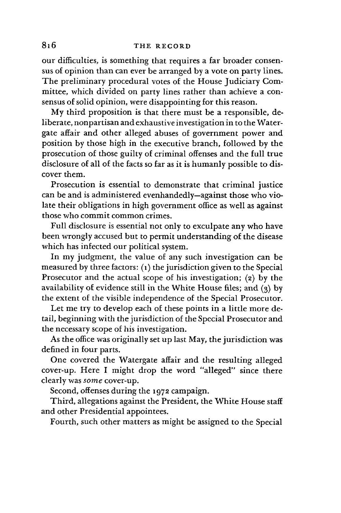## **THE** RECORD

our difficulties, is something that requires a far broader consensus of opinion than can ever be arranged by a vote on party lines. The preliminary procedural votes of the House Judiciary Committee, which divided on party lines rather than achieve a consensus of solid opinion, were disappointing for this reason.

My third proposition is that there must be a responsible, deliberate, nonpartisan and exhaustive investigation in to the Watergate affair and other alleged abuses of government power and position by those high in the executive branch, followed by the prosecution of those guilty of criminal offenses and the full true disclosure of all of the facts so far as it is humanly possible to discover them.

Prosecution is essential to demonstrate that criminal justice can be and is administered evenhandedly-against those who violate their obligations in high government office as well as against those who commit common crimes.

Full disclosure is essential not only to exculpate any who have been wrongly accused but to permit understanding of the disease which has infected our political system.

In my judgment, the value of any such investigation can be measured by three factors: **(i)** the jurisdiction given to the Special Prosecutor and the actual scope of his investigation; **(2)** by the availability of evidence still in the White House files; and  $(3)$  by the extent of the visible independence of the Special Prosecutor.

Let me try to develop each of these points in a little more detail, beginning with the jurisdiction of the Special Prosecutor and the necessary scope of his investigation.

As the office was originally set up last May, the jurisdiction was defined in four parts.

One covered the Watergate affair and the resulting alleged cover-up. Here I might drop the word "alleged" since there clearly was *some* cover-up.

Second, offenses during the **1972** campaign.

Third, allegations against the President, the White House staff and other Presidential appointees.

Fourth, such other matters as might be assigned to the Special

816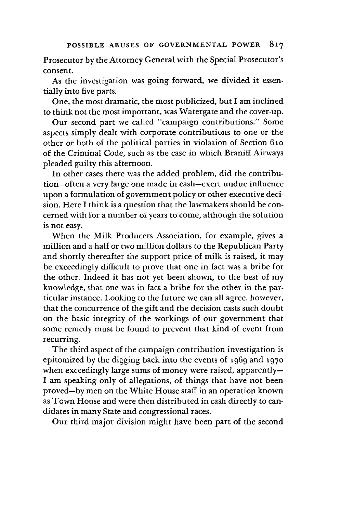Prosecutor by the Attorney General with the Special Prosecutor's consent.

As the investigation was going forward, we divided it essentially into five parts.

One, the most dramatic, the most publicized, but I am inclined to think not the most important, was Watergate and the cover-up.

Our second part we called "campaign contributions." Some aspects simply dealt with corporate contributions to one or the other or both of the political parties in violation of Section 61o of the Criminal Code, such as the case in which Braniff Airways pleaded guilty this afternoon.

In other cases there was the added problem, did the contribution-often a very large one made in cash-exert undue influence upon a formulation of government policy or other executive decision. Here I think is a question that the lawmakers should be concerned with for a number of years to come, although the solution is not easy.

When the Milk Producers Association, for example, gives a million and a half or two million dollars to the Republican Party and shortly thereafter the support price of milk is raised, it may be exceedingly difficult to prove that one in fact was a bribe for the other. Indeed it has not yet been shown, to the best of my knowledge, that one was in fact a bribe for the other in the particular instance. Looking to the future we can all agree, however, that the concurrence of the gift and the decision casts such doubt on the basic integrity of the workings of our government that some remedy must be found to prevent that kind of event from recurring.

The third aspect of the campaign contribution investigation is epitomized by the digging back into the events of 1969 and **1970** when exceedingly large sums of money were raised, apparently-I am speaking only of allegations, of things that have not been proved-by men on the White House staff in an operation known as Town House and were then distributed in cash directly to candidates in many State and congressional races.

Our third major division might have been part of the second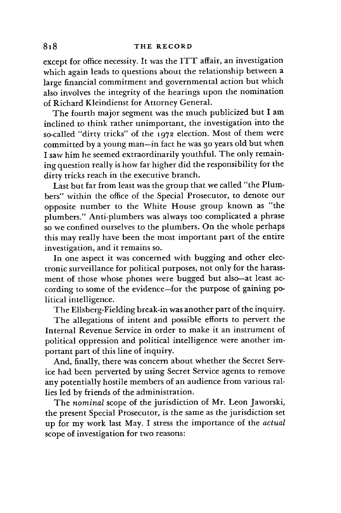except for office necessity. It was the ITT affair, an investigation which again leads to questions about the relationship between a large financial commitment and governmental action but which also involves the integrity of the hearings upon the nomination of Richard Kleindienst for Attorney General.

The fourth major segment was the much publicized but I am inclined to think rather unimportant, the investigation into the so-called "dirty tricks" of the **1972** election. Most of them were committed by a young man-in fact he was **30** years old but when I saw him he seemed extraordinarily youthful. The only remaining question really is how far higher did the responsibility for the dirty tricks reach in the executive branch.

Last but far from least was the group that we called "the Plumbers" within the office of the Special Prosecutor, to denote our opposite number to the White House group known as "the plumbers." Anti-plumbers was always too complicated a phrase so we confined ourselves to the plumbers. On the whole perhaps this may really have been the most important part of the entire investigation, and it remains so.

In one aspect it was concerned with bugging and other electronic surveillance for political purposes, not only for the harassment of those whose phones were bugged but also-at least according to some of the evidence-for the purpose of gaining political intelligence.

The Ellsberg-Fielding break-in was another part of the inquiry.

The allegations of intent and possible efforts to pervert the Internal Revenue Service in order to make it an instrument of political oppression and political intelligence were another important part of this line of inquiry.

And, finally, there was concern about whether the Secret Service had been perverted **by** using Secret Service agents to remove any potentially hostile members of an audience from various rallies led **by** friends of the administration.

The *nominal* scope of the jurisdiction of Mr. Leon Jaworski, the present Special Prosecutor, is the same as the jurisdiction set up for my work last May. I stress the importance of the *actual* scope of investigation for two reasons: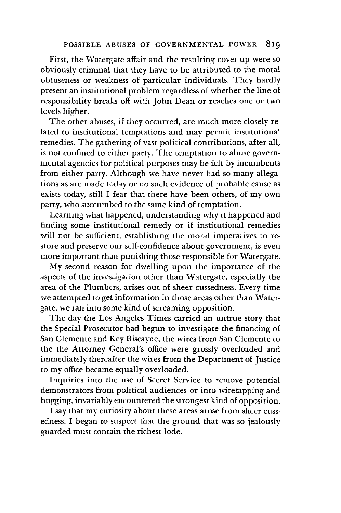First, the Watergate affair and the resulting cover-up were so obviously criminal that they have to be attributed to the moral obtuseness or weakness of particular individuals. They hardly present an institutional problem regardless of whether the line of responsibility breaks off with John Dean or reaches one or two levels higher.

The other abuses, if they occurred, are much more closely related to institutional temptations and may permit institutional remedies. The gathering of vast political contributions, after all, is not confined to either party. The temptation to abuse governmental agencies for political purposes may be felt by incumbents from either party. Although we have never had so many allegations as are made today or no such evidence of probable cause as exists today, still I fear that there have been others, of my own party, who succumbed to the same kind of temptation.

Learning what happened, understanding why it happened and finding some institutional remedy or if institutional remedies will not be sufficient, establishing the moral imperatives to restore and preserve our self-confidence about government, is even more important than punishing those responsible for Watergate.

My second reason for dwelling upon the importance of the aspects of the investigation other than Watergate, especially the area of the Plumbers, arises out of sheer cussedness. Every time we attempted to get information in those areas other than Watergate, we ran into some kind of screaming opposition.

The day the Los Angeles Times carried an untrue story that the Special Prosecutor had begun to investigate the financing of San Clemente and Key Biscayne, the wires from San Clemente to the the Attorney General's office were grossly overloaded and immediately thereafter the wires from the Department of Justice to my office became equally overloaded.

Inquiries into the use of Secret Service to remove potential demonstrators from political audiences or into wiretapping and bugging, invariably encountered the strongest kind of opposition.

**I** say that my curiosity about these areas arose from sheer cussedness. **I** began to suspect that the ground that was so jealously guarded must contain the richest lode.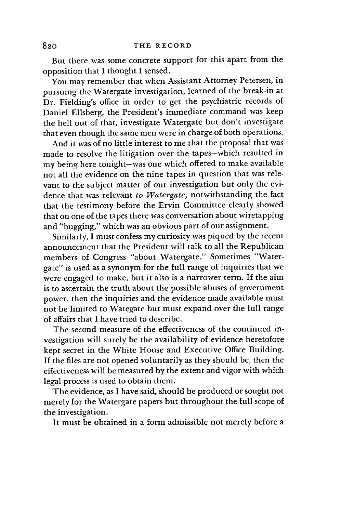But there was some concrete support for this apart from the opposition that I thought I sensed.

You may remember that when Assistant Attorney Petersen, in pursuing the Watergate investigation, learned of the break-in at Dr. Fielding's office in order to get the psychiatric records of Daniel Ellsberg, the President's immediate command was keep the hell out of that, investigate Watergate but don't investigate that even though the same men were in charge of both operations.

And it was of no little interest to me that the proposal that was made to resolve the litigation over the tapes-which resulted in my being here tonight-was one which offered to make available not all the evidence on the nine tapes in question that was relevant to the subject matter of our investigation but only the evidence that was relevant *to Watergate,* notwithstanding the fact that the testimony before the Ervin Committee clearly showed that on one of the tapes there was conversation about wiretapping and "bugging," which was an obvious part of our assignment.

Similarly, I must confess my curiosity was piqued by the recent announcement that the President will talk to all the Republican members of Congress "about Watergate." Sometimes "Watergate" is used as a synonym for the full range of inquiries that we were engaged to make, but it also is a narrower term. **If** the aim is to ascertain the truth about the possible abuses of government power, then the inquiries and the evidence made available must not be limited to Wategate but must expand over the full range of affairs that I have tried to describe.

The second measure of the effectiveness of the continued investigation will surely be the availability of evidence heretofore kept secret in the White House and Executive Office Building. If the files are not opened voluntarily as they should be, then the effectiveness will be measured by the extent and vigor with which legal process is used to obtain them.

The evidence, as I have said, should be produced or sought not merely for the Watergate papers but throughout the full scope of the investigation.

It must be obtained in a form admissible not merely before a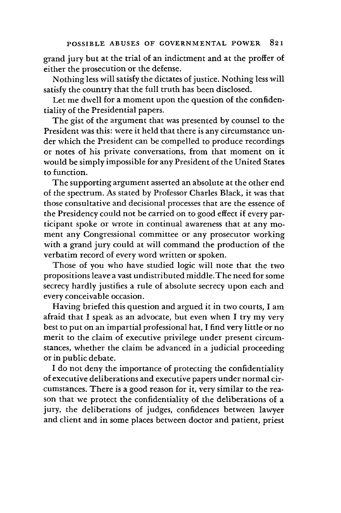grand jury but at the trial of an indictment and at the proffer of either the prosecution or the defense.

Nothing less will satisfy the dictates of justice. Nothing less will satisfy the country that the full truth has been disclosed.

Let me dwell for a moment upon the question of the confidentiality of the Presidential papers.

The gist of the argument that was presented by counsel to the President was this: were it held that there is any circumstance under which the President can be compelled to produce recordings or notes of his private conversations, from that moment on it would be simply impossible for any President of the United States to function.

The supporting argument asserted an absolute at the other end of the spectrum. As stated by Professor Charles Black, it was that those consultative and decisional processes that are the essence of the Presidency could not be carried on to good effect if every participant spoke or wrote in continual awareness that at any moment any Congressional committee or any prosecutor working with a grand jury could at will command the production of the verbatim record of every word written or spoken.

Those of you who have studied logic will note that the two propositions leave a vast undistributed middle.The need for some secrecy hardly justifies a rule of absolute secrecy upon each and every conceivable occasion.

Having briefed this question and argued it in two courts, I am afraid that I speak as an advocate, but even when I try my very best to put on an impartial professional hat, I find very little or no merit to the claim of executive privilege under present circumstances, whether the claim be advanced in a judicial proceeding or in public debate.

I do not deny the importance of protecting the confidentiality of executive deliberations and executive papers under normal circumstances. There is a good reason for it, very similar to the reason that we protect the confidentiality of the deliberations of a jury, the deliberations of judges, confidences between lawyer and client and in some places between doctor and patient, priest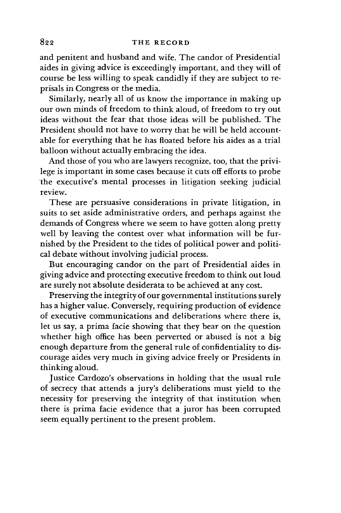## THE RECORD

and penitent and husband and wife. The candor of Presidential aides in giving advice is exceedingly important, and they will of course be less willing to speak candidly if they are subject to reprisals in Congress or the media.

Similarly, nearly all of us know the importance in making up our own minds of freedom to think aloud, of freedom to try out ideas without the fear that those ideas will be published. The President should not have to worry that he will be held accountable for everything that he has floated before his aides as a trial balloon without actually embracing the idea.

And those of you who are lawyers recognize, too, that the privilege is important in some cases because it cuts off efforts to probe the executive's mental processes in litigation seeking judicial review.

These are persuasive considerations in private litigation, in suits to set aside administrative orders, and perhaps against the demands of Congress where we seem to have gotten along pretty well by leaving the contest over what information will be furnished by the President to the tides of political power and political debate without involving judicial process.

But encouraging candor on the part of Presidential aides in giving advice and protecting executive freedom to think out loud are surely not absolute desiderata to be achieved at any cost.

Preserving the integrity of our governmental institutions surely has a higher value. Conversely, requiring production of evidence of executive communications and deliberations where there is, let us say, a prima facie showing that they bear on the question whether high office has been perverted or abused is not a big enough departure from the general rule of confidentiality to discourage aides very much in giving advice freely or Presidents in thinking aloud.

Justice Cardozo's observations in holding that the usual rule of secrecy that attends a jury's deliberations must yield to the necessity for preserving the integrity of that institution when there is prima facie evidence that a juror has been corrupted seem equally pertinent to the present problem.

# 822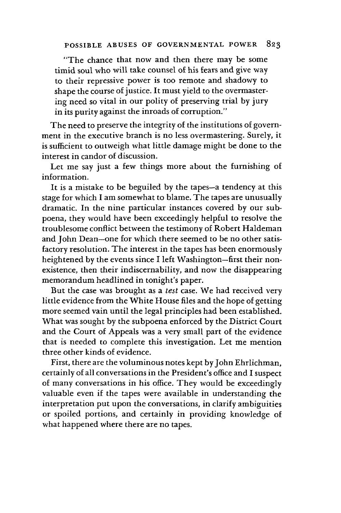"The chance that now and then there may be some timid soul who will take counsel of his fears and give way to their repressive power is too remote and shadowy to shape the course of justice. It must yield to the overmastering need so vital in our polity of preserving trial by jury in its purity against the inroads of corruption."

The need to preserve the integrity of the institutions of government in the executive branch is no less overmastering. Surely, it is sufficient to outweigh what little damage might be done to the interest in candor of discussion.

Let me say just a few things more about the furnishing of information.

It is a mistake to be beguiled by the tapes-a tendency at this stage for which I am somewhat to blame. The tapes are unusually dramatic. In the nine particular instances covered by our subpoena, they would have been exceedingly helpful to resolve the troublesome conflict between the testimony of Robert Haldeman and John Dean-one for which there seemed to be no other satisfactory resolution. The interest in the tapes has been enormously heightened by the events since I left Washington-first their nonexistence, then their indiscernability, and now the disappearing memorandum headlined in tonight's paper.

But the case was brought as a test case. We had received very little evidence from the White House files and the hope of getting more seemed vain until the legal principles had been established. What was sought by the subpoena enforced by the District Court and the Court of Appeals was a very small part of the evidence that is needed to complete this investigation. Let me mention three other kinds of evidence.

First, there are the voluminous notes kept by John Ehrlichman, certainly of all conversations in the President's office and I suspect of many conversations in his office. They would be exceedingly valuable even if the tapes were available in understanding the interpretation put upon the conversations, in clarify ambiguities or spoiled portions, and certainly in providing knowledge of what happened where there are no tapes.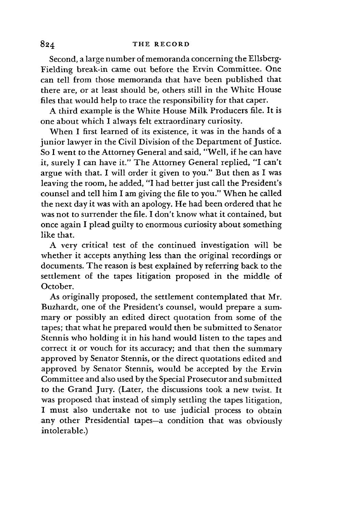## 84 **THE RECORD**

Second, a large number of memoranda concerning the Ellsberg-Fielding break-in came out before the Ervin Committee. One can tell from those memoranda that have been published that there are, or at least should be, others still in the White House files that would help to trace the responsibility for that caper.

A third example is the White House Milk Producers file. It is one about which I always felt extraordinary curiosity.

When I first learned of its existence, it was in the hands of a junior lawyer in the Civil Division of the Department of Justice. So I went to the Attorney General and said, "Well, if he can have it, surely I can have it." The Attorney General replied, "I can't argue with that. I will order it given to you." But then as I was leaving the room, he added, "I had better just call the President's counsel and tell him I am giving the file to you." When he called the next day it was with an apology. He had been ordered that he was not to surrender the file. I don't know what it contained, but once again I plead guilty to enormous curiosity about something like that.

A very critical test of the continued investigation will be whether it accepts anything less than the original recordings or documents. The reason is best explained by referring back to the settlement of the tapes litigation proposed in the middle of October.

As originally proposed, the settlement contemplated that Mr. Buzhardt, one of the President's counsel, would prepare a summary or possibly an edited direct quotation from some of the tapes; that what he prepared would then be submitted to Senator Stennis who holding it in his hand would listen to the tapes and correct it or vouch for its accuracy; and that then the summary approved by Senator Stennis, or the direct quotations edited and approved by Senator Stennis, would be accepted by the Ervin Committee and also used by the Special Prosecutor and submitted to the Grand Jury. (Later, the discussions took a new twist. It was proposed that instead of simply settling the tapes litigation, I must also undertake not to use judicial process to obtain any other Presidential tapes-a condition that was obviously intolerable.)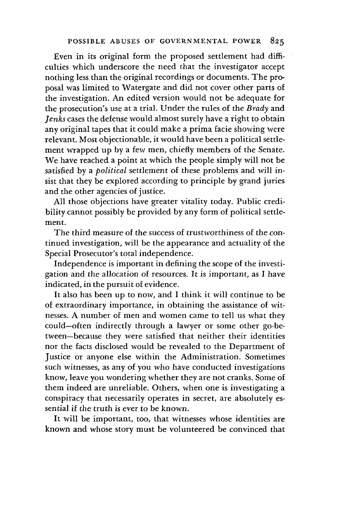Even in its original form the proposed settlement had difficulties which underscore the need that the investigator accept nothing less than the original recordings or documents. The proposal was limited to Watergate and did not cover other parts of the investigation. An edited version would not be adequate for the prosecution's use at a trial. Under the rules of the *Brady* and *Jenks* cases the defense would almost surely have a right to obtain any original tapes that it could make a prima facie showing were relevant. Most objectionable, it would have been a political settlement wrapped up by a few men, chiefly members of the Senate. We have reached a point at which the people simply will not be satisfied by a *political* settlement of these problems and will insist that they be explored according to principle by grand juries and the other agencies of justice.

All those objections have greater vitality today. Public credibility cannot possibly be provided by any form of political settlement.

The third measure of the success of trustworthiness of the continued investigation, will be the appearance and actuality of the Special Prosecutor's total independence.

Independence is important in defining the scope of the investigation and the allocation of resources. It is important, as I have indicated, in the pursuit of evidence.

It also has been up to now, and I think it will continue to be of extraordinary importance, in obtaining the assistance of witnesses. A number of men and women came to tell us what they could-often indirectly through a lawyer or some other go-between-because they were satisfied that neither their identities nor the facts disclosed would be revealed to the Department of Justice or anyone else within the Administration. Sometimes such witnesses, as any of you who have conducted investigations know, leave you wondering whether they are not cranks. Some of them indeed are unreliable. Others, when one is investigating a conspiracy that necessarily operates in secret, are absolutely essential if the truth is ever to be known.

It will be important, too, that witnesses whose identities are known and whose story must be volunteered be convinced that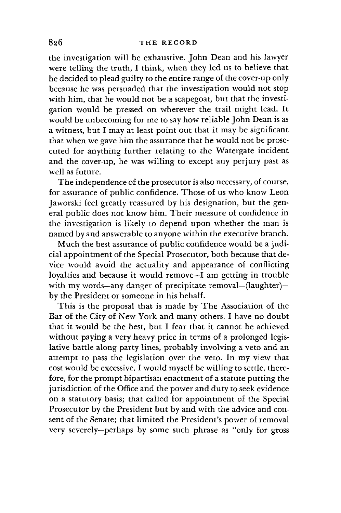the investigation will be exhaustive. John Dean and his lawyer were telling the truth, I think, when they led us to believe that he decided to plead guilty to the entire range of the cover-up only because he was persuaded that the investigation would not stop with him, that he would not be a scapegoat, but that the investigation would be pressed on wherever the trail might lead. It would be unbecoming for me to say how reliable John Dean is as a witness, but I may at least point out that it may be significant that when we gave him the assurance that he would not be prosecuted for anything further relating to the Watergate incident and the cover-up, he was willing to except any perjury past as well as future.

The independence of the prosecutor is also necessary, of course, for assurance of public confidence. Those of us who know Leon Jaworski feel greatly reassured by his designation, but the general public does not know him. Their measure of confidence in the investigation is likely to depend upon whether the man is named by and answerable to anyone within the executive branch.

Much the best assurance of public confidence would be a judicial appointment of the Special Prosecutor, both because that device would avoid the actuality and appearance of conflicting loyalties and because it would remove-I am getting in trouble with my words-any danger of precipitate removal-(laughter)by the President or someone in his behalf.

This is the proposal that is made by The Association of the Bar of the City of New York and many others. I have no doubt that it would be the best, but I fear that it cannot be achieved without paying a very heavy price in terms of a prolonged legislative battle along party lines, probably involving a veto and an attempt to pass the legislation over the veto. In my view that cost would be excessive. I would myself be willing to settle, therefore, for the prompt bipartisan enactment of a statute putting the jurisdiction of the Office and the power and duty to seek evidence on a statutory basis; that called for appointment of the Special Prosecutor by the President but by and with the advice and consent of the Senate; that limited the President's power of removal very severely-perhaps by some such phrase as "only for gross